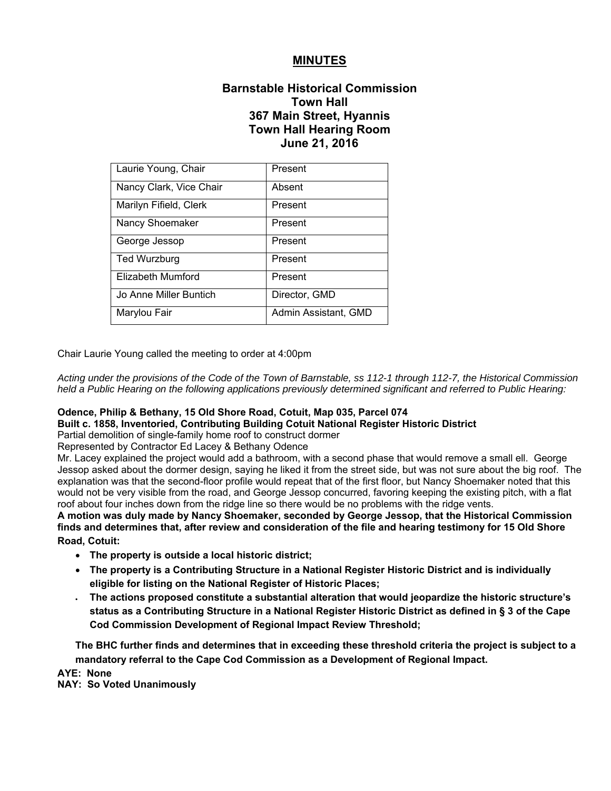# **MINUTES**

# **Barnstable Historical Commission Town Hall 367 Main Street, Hyannis Town Hall Hearing Room June 21, 2016**

| Laurie Young, Chair     | Present              |
|-------------------------|----------------------|
| Nancy Clark, Vice Chair | Absent               |
| Marilyn Fifield, Clerk  | Present              |
| Nancy Shoemaker         | Present              |
| George Jessop           | Present              |
| <b>Ted Wurzburg</b>     | Present              |
| Elizabeth Mumford       | Present              |
| Jo Anne Miller Buntich  | Director, GMD        |
| Marylou Fair            | Admin Assistant, GMD |

Chair Laurie Young called the meeting to order at 4:00pm

*Acting under the provisions of the Code of the Town of Barnstable, ss 112-1 through 112-7, the Historical Commission held a Public Hearing on the following applications previously determined significant and referred to Public Hearing:*

## **Odence, Philip & Bethany, 15 Old Shore Road, Cotuit, Map 035, Parcel 074**

**Built c. 1858, Inventoried, Contributing Building Cotuit National Register Historic District**

Partial demolition of single-family home roof to construct dormer

Represented by Contractor Ed Lacey & Bethany Odence

Mr. Lacey explained the project would add a bathroom, with a second phase that would remove a small ell. George Jessop asked about the dormer design, saying he liked it from the street side, but was not sure about the big roof. The explanation was that the second-floor profile would repeat that of the first floor, but Nancy Shoemaker noted that this would not be very visible from the road, and George Jessop concurred, favoring keeping the existing pitch, with a flat roof about four inches down from the ridge line so there would be no problems with the ridge vents.

**A motion was duly made by Nancy Shoemaker, seconded by George Jessop, that the Historical Commission finds and determines that, after review and consideration of the file and hearing testimony for 15 Old Shore Road, Cotuit:** 

- **The property is outside a local historic district;**
- **The property is a Contributing Structure in a National Register Historic District and is individually eligible for listing on the National Register of Historic Places;**
- **The actions proposed constitute a substantial alteration that would jeopardize the historic structure's status as a Contributing Structure in a National Register Historic District as defined in § 3 of the Cape Cod Commission Development of Regional Impact Review Threshold;**

**The BHC further finds and determines that in exceeding these threshold criteria the project is subject to a mandatory referral to the Cape Cod Commission as a Development of Regional Impact.** 

**AYE: None** 

**NAY: So Voted Unanimously**